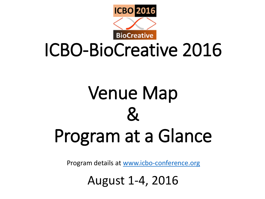

## ICBO-BioCreative 2016

# Venue Map  $\mathcal{\mathcal{R}}$ Program at a Glance

Program details at [www.icbo-conference.org](http://www.icbo-conference.org/)

August 1-4, 2016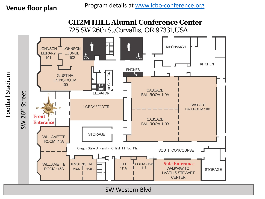### **CH2M HILL Alumni Conference Center**

725 SW 26th St,Corvallis, OR 97331,USA



SW Western Blvd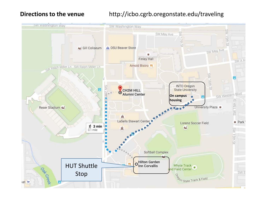#### **Directions to the venue** http://icbo.cgrb.oregonstate.edu/traveling

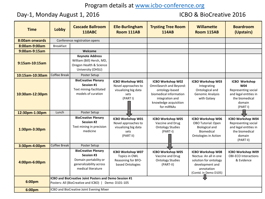#### Program details at [www.icbo-conference.org](http://www.icbo-conference.org/)

#### Day-1, Monday August 1, 2016 **ICBO & BioCreative 2016**

| <b>Time</b>     | Lobby                                                   | <b>Cascade Ballroom</b><br><b>110ABC</b>                                                                           | <b>Elle-Burlingham</b><br>Room 111AB                                                  | <b>Trysting Tree Room</b><br><b>114AB</b>                                                                                                         | <b>Willamette</b><br>Room 115AB                                                                                                      | <b>Boardroom</b><br>(Upstairs)                                                                                      |  |
|-----------------|---------------------------------------------------------|--------------------------------------------------------------------------------------------------------------------|---------------------------------------------------------------------------------------|---------------------------------------------------------------------------------------------------------------------------------------------------|--------------------------------------------------------------------------------------------------------------------------------------|---------------------------------------------------------------------------------------------------------------------|--|
| 8:00am onwards  |                                                         | Conference registration opens                                                                                      |                                                                                       |                                                                                                                                                   |                                                                                                                                      |                                                                                                                     |  |
| 8:00am-9:00am   | <b>Breakfast</b>                                        |                                                                                                                    |                                                                                       |                                                                                                                                                   |                                                                                                                                      |                                                                                                                     |  |
| 9:00am-9:15am   |                                                         | Welcome                                                                                                            |                                                                                       |                                                                                                                                                   |                                                                                                                                      |                                                                                                                     |  |
| 9:15am-10:15am  |                                                         | <b>Keynote Address</b><br>William (Bill) Hersh, MD,<br>Oregon Health & Science<br>University (OHSU)                |                                                                                       |                                                                                                                                                   |                                                                                                                                      |                                                                                                                     |  |
| 10:15am-10:30am | Coffee Break                                            | Poster Setup                                                                                                       |                                                                                       |                                                                                                                                                   |                                                                                                                                      |                                                                                                                     |  |
| 10:30am-12:30pm |                                                         | <b>BioCreative Plenary</b><br>Session #1<br>Text mining-facilitated<br>models of curation                          | ICBO Workshop W01<br>Novel approaches to<br>visualizing big data<br>sets<br>(PARTI)   | ICBO Workshop W02<br>OmniSearch and Beyond:<br>ontology-based<br>biomedical information<br>integration and<br>knowledge acquisition<br>for miRNAs | ICBO Workshop W03<br>Integrating<br>Ontological and<br>Genomic Analysis<br>with Galaxy                                               | ICBO Workshop<br><b>W04</b><br>Representing social<br>and legal entities in<br>the biomedical<br>domain<br>(PART I) |  |
| 12:30pm-1:30pm  | Lunch                                                   | Poster Setup                                                                                                       |                                                                                       |                                                                                                                                                   |                                                                                                                                      |                                                                                                                     |  |
| 1:30pm-3:30pm   |                                                         | <b>BioCreative Plenary</b><br><b>Session #2</b><br>Text mining in precision<br>medicine                            | ICBO Workshop W01<br>Novel approaches to<br>visualizing big data<br>sets<br>(PART II) | <b>ICBO Workshop W05</b><br>Vaccine and Drug<br><b>Ontology Studies</b><br>(PART-I)                                                               | ICBO Workshop W06<br>OBO Tutorial: Open<br><b>Biological and</b><br>Biomedical<br>Ontologies in Action                               | ICBO Workshop W04<br>Representing social<br>and legal entities in<br>the biomedical<br>domain<br>(PART II)          |  |
| 3:30pm-4:00pm   | Coffee Break                                            | Poster Setup                                                                                                       |                                                                                       |                                                                                                                                                   |                                                                                                                                      |                                                                                                                     |  |
| 4:00pm-6:00pm   |                                                         | <b>BioCreative Plenary</b><br>Session #3<br>Domain portability or<br>generalizability across<br>medical literature | ICBO Workshop W07<br>Topics in OWL<br>Reasoning for BFO-<br>based Ontologies          | ICBO Workshop W05<br>Vaccine and Drug<br><b>Ontology Studies</b><br>$(PART-II)$                                                                   | <b>ICBO Workshop W08</b><br>Noctua: An all in one<br>solution for ontology<br>development and<br>annotation<br>(Contd. in Demo D105) | ICBO Workshop W09<br><b>OBI-ECO Interactions</b><br>& Evidence                                                      |  |
| 6:00pm          | ICBO and BioCreative Joint Posters and Demo Session #1  |                                                                                                                    |                                                                                       |                                                                                                                                                   |                                                                                                                                      |                                                                                                                     |  |
|                 | Posters: All (BioCreative and ICBO)  <br>Demo: D101-105 |                                                                                                                    |                                                                                       |                                                                                                                                                   |                                                                                                                                      |                                                                                                                     |  |
| 6:00pm          | ICBO and BioCreative Joint Evening Mixer                |                                                                                                                    |                                                                                       |                                                                                                                                                   |                                                                                                                                      |                                                                                                                     |  |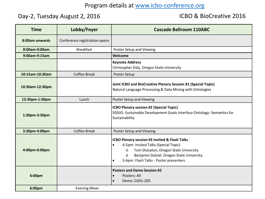#### Program details at [www.icbo-conference.org](http://www.icbo-conference.org/)

#### Day-2, Tuesday August 2, 2016 **ICBO & BioCreative 2016**

| <b>Time</b>     | Lobby/Foyer                   | <b>Cascade Ballroom 110ABC</b>                                                                                                                                                                                                                                        |  |  |
|-----------------|-------------------------------|-----------------------------------------------------------------------------------------------------------------------------------------------------------------------------------------------------------------------------------------------------------------------|--|--|
| 8:00am onwards  | Conference registration opens |                                                                                                                                                                                                                                                                       |  |  |
| 8:00am-9:00am   | <b>Breakfast</b>              | Poster Setup and Viewing                                                                                                                                                                                                                                              |  |  |
| 9:00am-9:15am   |                               | Welcome                                                                                                                                                                                                                                                               |  |  |
|                 |                               | <b>Keynote Address</b><br>Christopher Daly, Oregon State University                                                                                                                                                                                                   |  |  |
| 10:15am-10:30am | Coffee Break                  | Poster Setup                                                                                                                                                                                                                                                          |  |  |
| 10:30am-12:30pm |                               | Joint ICBO and BioCreative Plenary Session #1 (Special Topic)<br>Natural Language Processing & Data Mining with Ontologies                                                                                                                                            |  |  |
| 12:30pm-1:30pm  | Lunch                         | Poster Setup and Viewing                                                                                                                                                                                                                                              |  |  |
| 1:30pm-3:30pm   |                               | <b>ICBO Plenary session #2 (Special Topic)</b><br>SDGIO: Sustainable Development Goals Interface Ontology--Semantics for<br>Sustainability                                                                                                                            |  |  |
| 3:30pm-4:00pm   | <b>Coffee Break</b>           | Poster Setup and Viewing                                                                                                                                                                                                                                              |  |  |
| 4:00pm-6:00pm   |                               | ICBO Plenary session #3 Invited & Flash Talks<br>4-5pm: Invited Talks (Special Topic)<br>$\bullet$<br>Tom Sharpton, Oregon State University<br>$\circ$<br>Benjamin Dalziel, Oregon State University<br>$\circ$<br>5-6pm: Flash Talks - Poster presenters<br>$\bullet$ |  |  |
| 6:00pm          |                               | <b>Posters and Demo Session #2</b><br>Posters: All<br>$\bullet$<br>Demo: D201-205<br>$\bullet$                                                                                                                                                                        |  |  |
| 6:00pm          | <b>Evening Mixer</b>          |                                                                                                                                                                                                                                                                       |  |  |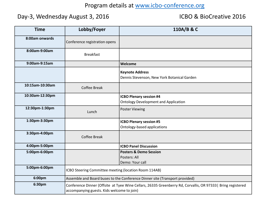#### Program details at [www.icbo-conference.org](http://www.icbo-conference.org/)

#### Day-3, Wednesday August 3, 2016 **ICBO & BioCreative 2016**

| <b>Time</b>     | Lobby/Foyer                                                                                                                                                | 110A/B & C                                                                    |  |  |  |
|-----------------|------------------------------------------------------------------------------------------------------------------------------------------------------------|-------------------------------------------------------------------------------|--|--|--|
| 8:00am onwards  | Conference registration opens                                                                                                                              |                                                                               |  |  |  |
| 8:00am-9:00am   | <b>Breakfast</b>                                                                                                                                           |                                                                               |  |  |  |
| 9:00am-9:15am   |                                                                                                                                                            | Welcome                                                                       |  |  |  |
|                 |                                                                                                                                                            | <b>Keynote Address</b><br>Dennis Stevenson, New York Botanical Garden         |  |  |  |
| 10:15am-10:30am | Coffee Break                                                                                                                                               |                                                                               |  |  |  |
| 10:30am-12:30pm |                                                                                                                                                            | <b>ICBO Plenary session #4</b><br><b>Ontology Development and Application</b> |  |  |  |
| 12:30pm-1:30pm  | Lunch                                                                                                                                                      | <b>Poster Viewing</b>                                                         |  |  |  |
| 1:30pm-3:30pm   |                                                                                                                                                            | <b>ICBO Plenary session #5</b><br>Ontology-based applications                 |  |  |  |
| 3:30pm-4:00pm   | <b>Coffee Break</b>                                                                                                                                        |                                                                               |  |  |  |
| 4:00pm-5:00pm   |                                                                                                                                                            | <b>ICBO Panel Discussion</b>                                                  |  |  |  |
| 5:00pm-6:00pm   |                                                                                                                                                            | <b>Posters &amp; Demo Session</b><br>Posters: All<br>Demo: Your call          |  |  |  |
| 5:00pm-6:00pm   | ICBO Steering Committee meeting (location Room 114AB)                                                                                                      |                                                                               |  |  |  |
| 6:00pm          | Assemble and Board buses to the Conference Dinner site (Transport provided)                                                                                |                                                                               |  |  |  |
| 6:30pm          | Conference Dinner (Offsite at Tyee Wine Cellars, 26335 Greenberry Rd, Corvallis, OR 97333   Bring registered<br>accompanying guests. Kids welcome to join) |                                                                               |  |  |  |